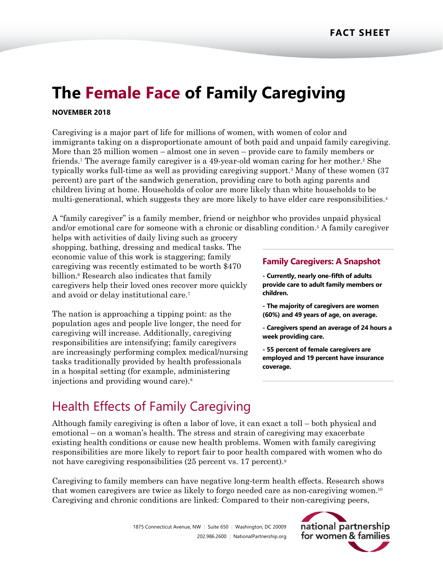# **The Female Face of Family Caregiving**

#### **NOVEMBER 2018**

Caregiving is a major part of life for millions of women, with women of color and immigrants taking on a disproportionate amount of both paid and unpaid family caregiving. More than 25 million women – almost one in seven – provide care to family members or friends.<sup>1</sup> The average family caregiver is a 49-year-old woman caring for her mother.<sup>2</sup> She typically works full-time as well as providing caregiving support. <sup>3</sup> Many of these women (37 percent) are part of the sandwich generation, providing care to both aging parents and children living at home. Households of color are more likely than white households to be multi-generational, which suggests they are more likely to have elder care responsibilities.<sup>4</sup>

A "family caregiver" is a family member, friend or neighbor who provides unpaid physical and/or emotional care for someone with a chronic or disabling condition. <sup>5</sup> A family caregiver

helps with activities of daily living such as grocery shopping, bathing, dressing and medical tasks. The economic value of this work is staggering; family caregiving was recently estimated to be worth \$470 billion. <sup>6</sup> Research also indicates that family caregivers help their loved ones recover more quickly and avoid or delay institutional care.<sup>7</sup>

The nation is approaching a tipping point: as the population ages and people live longer, the need for caregiving will increase. Additionally, caregiving responsibilities are intensifying; family caregivers are increasingly performing complex medical/nursing tasks traditionally provided by health professionals in a hospital setting (for example, administering injections and providing wound care).<sup>8</sup>

#### **Family Caregivers: A Snapshot**

**- Currently, nearly one-fifth of adults provide care to adult family members or children.** 

- **- The majority of caregivers are women (60%) and 49 years of age, on average.**
- **- Caregivers spend an average of 24 hours a week providing care.**
- **- 55 percent of female caregivers are employed and 19 percent have insurance coverage.**

## Health Effects of Family Caregiving

Although family caregiving is often a labor of love, it can exact a toll – both physical and emotional – on a woman's health. The stress and strain of caregiving may exacerbate existing health conditions or cause new health problems. Women with family caregiving responsibilities are more likely to report fair to poor health compared with women who do not have caregiving responsibilities (25 percent vs. 17 percent).<sup>9</sup>

Caregiving to family members can have negative long-term health effects. Research shows that women caregivers are twice as likely to forgo needed care as non-caregiving women.<sup>10</sup> Caregiving and chronic conditions are linked: Compared to their non-caregiving peers,

> 1875 Connecticut Avenue, NW | Suite 650 | Washington, DC 20009 202.986.2600 | [NationalPartnership.org](http://www.nationalpartnership.org/)

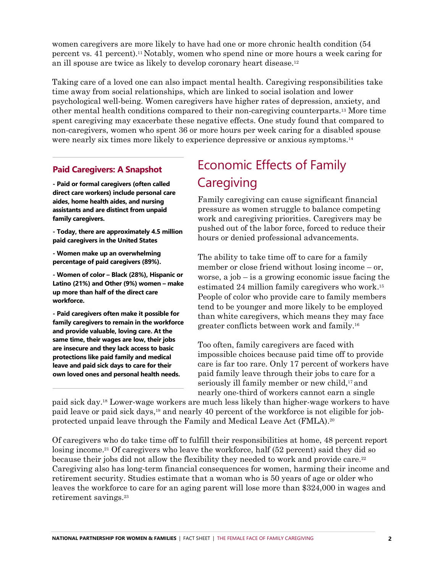women caregivers are more likely to have had one or more chronic health condition (54 percent vs. 41 percent).<sup>11</sup> Notably, women who spend nine or more hours a week caring for an ill spouse are twice as likely to develop coronary heart disease.<sup>12</sup>

Taking care of a loved one can also impact mental health. Caregiving responsibilities take time away from social relationships, which are linked to social isolation and lower psychological well-being. Women caregivers have higher rates of depression, anxiety, and other mental health conditions compared to their non-caregiving counterparts.<sup>13</sup> More time spent caregiving may exacerbate these negative effects. One study found that compared to non-caregivers, women who spent 36 or more hours per week caring for a disabled spouse were nearly six times more likely to experience depressive or anxious symptoms.<sup>14</sup>

#### **Paid Caregivers: A Snapshot**

**- Paid or formal caregivers (often called direct care workers) include personal care aides, home health aides, and nursing assistants and are distinct from unpaid family caregivers.** 

**- Today, there are approximately 4.5 million paid caregivers in the United States** 

**- Women make up an overwhelming percentage of paid caregivers (89%).** 

**- Women of color – Black (28%), Hispanic or Latino (21%) and Other (9%) women – make up more than half of the direct care workforce.** 

**- Paid caregivers often make it possible for family caregivers to remain in the workforce and provide valuable, loving care. At the same time, their wages are low, their jobs are insecure and they lack access to basic protections like paid family and medical leave and paid sick days to care for their own loved ones and personal health needs.**

## Economic Effects of Family **Caregiving**

Family caregiving can cause significant financial pressure as women struggle to balance competing work and caregiving priorities. Caregivers may be pushed out of the labor force, forced to reduce their hours or denied professional advancements.

The ability to take time off to care for a family member or close friend without losing income – or, worse, a job – is a growing economic issue facing the estimated 24 million family caregivers who work. 15 People of color who provide care to family members tend to be younger and more likely to be employed than white caregivers, which means they may face greater conflicts between work and family. 16

Too often, family caregivers are faced with impossible choices because paid time off to provide care is far too rare. Only 17 percent of workers have paid family leave through their jobs to care for a seriously ill family member or new child,<sup>17</sup> and nearly one-third of workers cannot earn a single

paid sick day. <sup>18</sup> Lower-wage workers are much less likely than higher-wage workers to have paid leave or paid sick days, <sup>19</sup> and nearly 40 percent of the workforce is not eligible for jobprotected unpaid leave through the Family and Medical Leave Act (FMLA). 20

Of caregivers who do take time off to fulfill their responsibilities at home, 48 percent report losing income.<sup>21</sup> Of caregivers who leave the workforce, half (52 percent) said they did so because their jobs did not allow the flexibility they needed to work and provide care.<sup>22</sup> Caregiving also has long-term financial consequences for women, harming their income and retirement security. Studies estimate that a woman who is 50 years of age or older who leaves the workforce to care for an aging parent will lose more than \$324,000 in wages and retirement savings. 23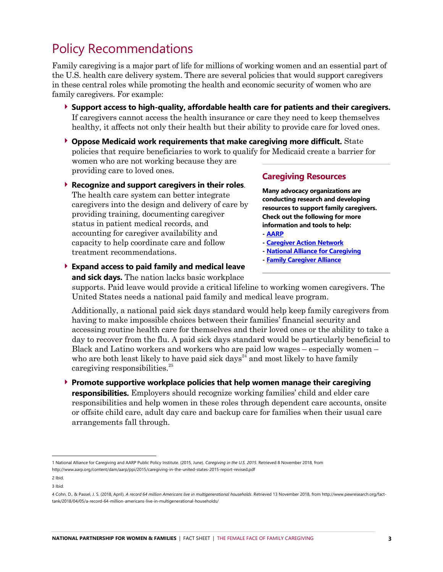### Policy Recommendations

Family caregiving is a major part of life for millions of working women and an essential part of the U.S. health care delivery system. There are several policies that would support caregivers in these central roles while promoting the health and economic security of women who are family caregivers. For example:

- **Support access to high-quality, affordable health care for patients and their caregivers.** If caregivers cannot access the health insurance or care they need to keep themselves healthy, it affects not only their health but their ability to provide care for loved ones.
- **Oppose Medicaid work requirements that make caregiving more difficult.** State policies that require beneficiaries to work to qualify for Medicaid create a barrier for women who are not working because they are providing care to loved ones.
- **Recognize and support caregivers in their roles**. The health care system can better integrate caregivers into the design and delivery of care by providing training, documenting caregiver status in patient medical records, and accounting for caregiver availability and capacity to help coordinate care and follow treatment recommendations.

#### **Caregiving Resources**

**Many advocacy organizations are conducting research and developing resources to support family caregivers. Check out the following for more information and tools to help: - [AARP](https://www.aarp.org/caregiving/)**

- **- [Caregiver Action Network](https://caregiveraction.org/)**
- **- [National Alliance for Caregiving](https://www.caregiving.org/)**
- **- [Family Caregiver Alliance](https://www.caregiver.org/)**

**Expand access to paid family and medical leave**

**and sick days.** The nation lacks basic workplace

supports. Paid leave would provide a critical lifeline to working women caregivers. The United States needs a national paid family and medical leave program.

Additionally, a national paid sick days standard would help keep family caregivers from having to make impossible choices between their families' financial security and accessing routine health care for themselves and their loved ones or the ability to take a day to recover from the flu. A paid sick days standard would be particularly beneficial to Black and Latino workers and workers who are paid low wages – especially women – who are both least likely to have paid sick days<sup> $24$ </sup> and most likely to have family caregiving responsibilities.<sup>25</sup>

 **Promote supportive workplace policies that help women manage their caregiving responsibilities.** Employers should recognize working families' child and elder care responsibilities and help women in these roles through dependent care accounts, onsite or offsite child care, adult day care and backup care for families when their usual care arrangements fall through.

l

<sup>1</sup> National Alliance for Caregiving and AARP Public Policy Institute. (2015, June). *Caregiving in the U.S. 2015*. Retrieved 8 November 2018, from http://www.aarp.org/content/dam/aarp/ppi/2015/caregiving-in-the-united-states-2015-report-revised.pdf

<sup>2</sup> Ibid.

<sup>3</sup> Ibid.

<sup>4</sup> Cohn, D., & Passel, J. S. (2018, April). *A record 64 million Americans live in multigenerational households*. Retrieved 13 November 2018, from [http://www.pewresearch.org/fact](http://www.pewresearch.org/fact-tank/2018/04/05/a-record-64-million-americans-live-in-multigenerational-households/)[tank/2018/04/05/a-record-64-million-americans-live-in-multigenerational-households/](http://www.pewresearch.org/fact-tank/2018/04/05/a-record-64-million-americans-live-in-multigenerational-households/)